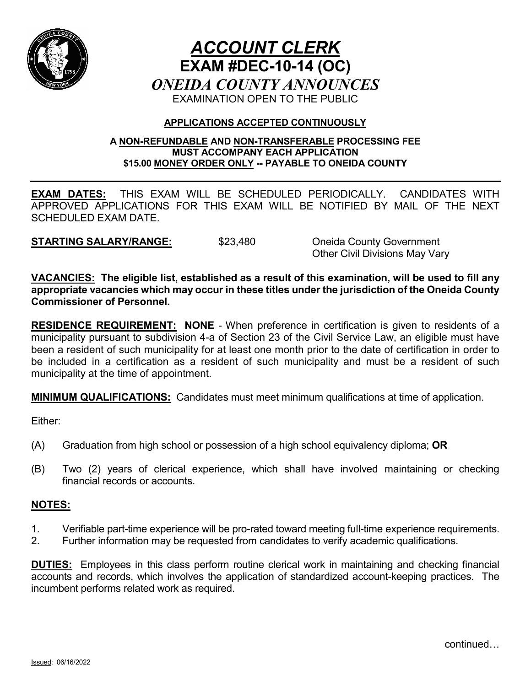

# *ACCOUNT CLERK* **EXAM #DEC-10-14 (OC)** *ONEIDA COUNTY ANNOUNCES* EXAMINATION OPEN TO THE PUBLIC

## **APPLICATIONS ACCEPTED CONTINUOUSLY**

#### **A NON-REFUNDABLE AND NON-TRANSFERABLE PROCESSING FEE MUST ACCOMPANY EACH APPLICATION \$15.00 MONEY ORDER ONLY -- PAYABLE TO ONEIDA COUNTY**

**EXAM DATES:** THIS EXAM WILL BE SCHEDULED PERIODICALLY. CANDIDATES WITH APPROVED APPLICATIONS FOR THIS EXAM WILL BE NOTIFIED BY MAIL OF THE NEXT SCHEDULED EXAM DATE.

**STARTING SALARY/RANGE:** \$23,480 Oneida County Government

Other Civil Divisions May Vary

**VACANCIES: The eligible list, established as a result of this examination, will be used to fill any appropriate vacancies which may occur in these titles under the jurisdiction of the Oneida County Commissioner of Personnel.**

**RESIDENCE REQUIREMENT: NONE** - When preference in certification is given to residents of a municipality pursuant to subdivision 4-a of Section 23 of the Civil Service Law, an eligible must have been a resident of such municipality for at least one month prior to the date of certification in order to be included in a certification as a resident of such municipality and must be a resident of such municipality at the time of appointment.

**MINIMUM QUALIFICATIONS:** Candidates must meet minimum qualifications at time of application.

Either:

- (A) Graduation from high school or possession of a high school equivalency diploma; **OR**
- (B) Two (2) years of clerical experience, which shall have involved maintaining or checking financial records or accounts.

## **NOTES:**

- 1. Verifiable part-time experience will be pro-rated toward meeting full-time experience requirements.
- 2. Further information may be requested from candidates to verify academic qualifications.

**DUTIES:** Employees in this class perform routine clerical work in maintaining and checking financial accounts and records, which involves the application of standardized account-keeping practices. The incumbent performs related work as required.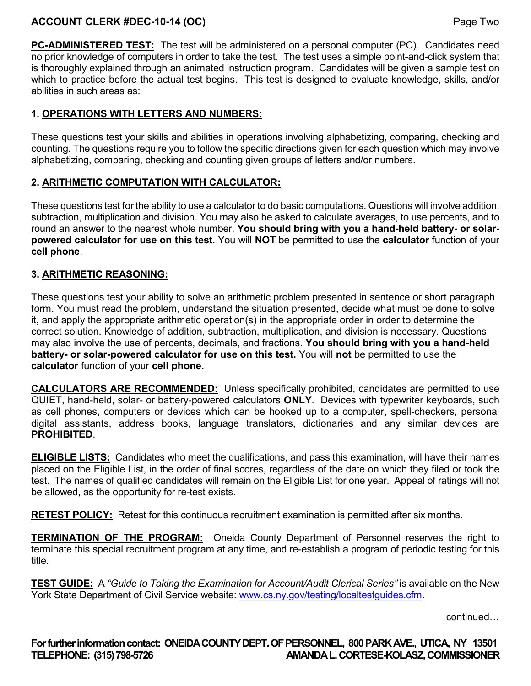## **ACCOUNT CLERK #DEC-10-14 (OC)** Page Two

**PC-ADMINISTERED TEST:** The test will be administered on a personal computer (PC). Candidates need no prior knowledge of computers in order to take the test. The test uses a simple point-and-click system that is thoroughly explained through an animated instruction program. Candidates will be given a sample test on which to practice before the actual test begins. This test is designed to evaluate knowledge, skills, and/or abilities in such areas as:

## **1. OPERATIONS WITH LETTERS AND NUMBERS:**

These questions test your skills and abilities in operations involving alphabetizing, comparing, checking and counting. The questions require you to follow the specific directions given for each question which may involve alphabetizing, comparing, checking and counting given groups of letters and/or numbers.

#### **2. ARITHMETIC COMPUTATION WITH CALCULATOR:**

These questions test for the ability to use a calculator to do basic computations. Questions will involve addition, subtraction, multiplication and division. You may also be asked to calculate averages, to use percents, and to round an answer to the nearest whole number. **You should bring with you a hand-held battery- or solarpowered calculator for use on this test.** You will **NOT** be permitted to use the **calculator** function of your **cell phone**.

#### **3. ARITHMETIC REASONING:**

These questions test your ability to solve an arithmetic problem presented in sentence or short paragraph form. You must read the problem, understand the situation presented, decide what must be done to solve it, and apply the appropriate arithmetic operation(s) in the appropriate order in order to determine the correct solution. Knowledge of addition, subtraction, multiplication, and division is necessary. Questions may also involve the use of percents, decimals, and fractions. **You should bring with you a hand-held battery- or solar-powered calculator for use on this test.** You will **not** be permitted to use the **calculator** function of your **cell phone.** 

**CALCULATORS ARE RECOMMENDED:** Unless specifically prohibited, candidates are permitted to use QUIET, hand-held, solar- or battery-powered calculators **ONLY**. Devices with typewriter keyboards, such as cell phones, computers or devices which can be hooked up to a computer, spell-checkers, personal digital assistants, address books, language translators, dictionaries and any similar devices are **PROHIBITED**.

**ELIGIBLE LISTS:** Candidates who meet the qualifications, and pass this examination, will have their names placed on the Eligible List, in the order of final scores, regardless of the date on which they filed or took the test. The names of qualified candidates will remain on the Eligible List for one year. Appeal of ratings will not be allowed, as the opportunity for re-test exists.

**RETEST POLICY:** Retest for this continuous recruitment examination is permitted after six months.

**TERMINATION OF THE PROGRAM:** Oneida County Department of Personnel reserves the right to terminate this special recruitment program at any time, and re-establish a program of periodic testing for this title.

**TEST GUIDE:** A *"Guide to Taking the Examination for Account/Audit Clerical Series"* is available on the New York State Department of Civil Service website: [www.cs.ny.gov/testing/localtestguides.cfm](http://www.cs.ny.gov/testing/localtestguides.cfm).

continued…